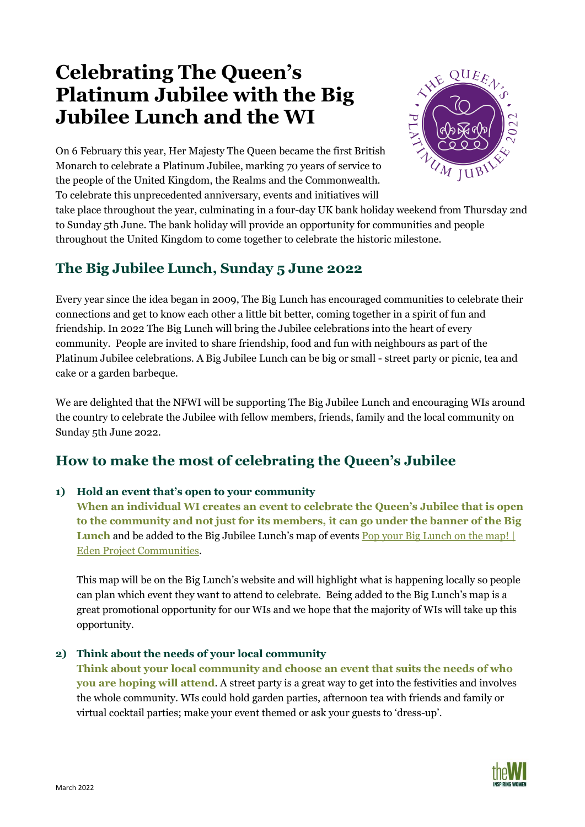# **Celebrating The Queen's Platinum Jubilee with the Big Jubilee Lunch and the WI**



On 6 February this year, Her Majesty The Queen became the first British Monarch to celebrate a Platinum Jubilee, marking 70 years of service to the people of the United Kingdom, the Realms and the Commonwealth. To celebrate this unprecedented anniversary, events and initiatives will

take place throughout the year, culminating in a four-day UK bank holiday weekend from Thursday 2nd to Sunday 5th June. The bank holiday will provide an opportunity for communities and people throughout the United Kingdom to come together to celebrate the historic milestone.

### **The Big Jubilee Lunch, Sunday 5 June 2022**

Every year since the idea began in 2009, The Big Lunch has encouraged communities to celebrate their connections and get to know each other a little bit better, coming together in a spirit of fun and friendship. In 2022 The Big Lunch will bring the Jubilee celebrations into the heart of every community. People are invited to share friendship, food and fun with neighbours as part of the Platinum Jubilee celebrations. A Big Jubilee Lunch can be big or small - street party or picnic, tea and cake or a garden barbeque.

We are delighted that the NFWI will be supporting The Big Jubilee Lunch and encouraging WIs around the country to celebrate the Jubilee with fellow members, friends, family and the local community on Sunday 5th June 2022.

## **How to make the most of celebrating the Queen's Jubilee**

#### **1) Hold an event that's open to your community**

**When an individual WI creates an event to celebrate the Queen's Jubilee that is open to the community and not just for its members, it can go under the banner of the Big Lunch** and be added to the Big Jubilee Lunch's map of events Pop your Big Lunch on the map! [Eden Project Communities.](https://www.edenprojectcommunities.com/pop-your-big-lunch-on-the-map)

This map will be on the Big Lunch's website and will highlight what is happening locally so people can plan which event they want to attend to celebrate. Being added to the Big Lunch's map is a great promotional opportunity for our WIs and we hope that the majority of WIs will take up this opportunity.

#### **2) Think about the needs of your local community**

**Think about your local community and choose an event that suits the needs of who you are hoping will attend**. A street party is a great way to get into the festivities and involves the whole community. WIs could hold garden parties, afternoon tea with friends and family or virtual cocktail parties; make your event themed or ask your guests to 'dress-up'.

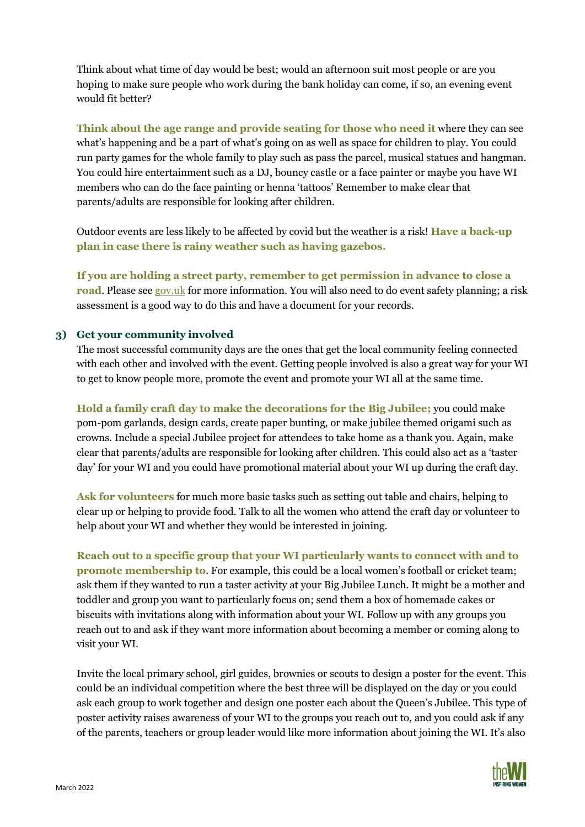Think about what time of day would be best; would an afternoon suit most people or are you hoping to make sure people who work during the bank holiday can come, if so, an evening event would fit better?

**Think about the age range and provide seating for those who need it** where they can see what's happening and be a part of what's going on as well as space for children to play. You could run party games for the whole family to play such as pass the parcel, musical statues and hangman. You could hire entertainment such as a DJ, bouncy castle or a face painter or maybe you have WI members who can do the face painting or henna 'tattoos' Remember to make clear that parents/adults are responsible for looking after children.

Outdoor events are less likely to be affected by covid but the weather is a risk! **Have a back-up plan in case there is rainy weather such as having gazebos.** 

**If you are holding a street party, remember to get permission in advance to close a road**. Please see [gov.uk](https://www.gov.uk/organise-street-party/closing-a-road) for more information. You will also need to do event safety planning; a risk assessment is a good way to do this and have a document for your records.

#### **3) Get your community involved**

The most successful community days are the ones that get the local community feeling connected with each other and involved with the event. Getting people involved is also a great way for your WI to get to know people more, promote the event and promote your WI all at the same time.

**Hold a family craft day to make the decorations for the Big Jubilee;** you could make pom-pom garlands, design cards, create paper bunting, or make jubilee themed origami such as crowns. Include a special Jubilee project for attendees to take home as a thank you. Again, make clear that parents/adults are responsible for looking after children. This could also act as a 'taster day' for your WI and you could have promotional material about your WI up during the craft day.

**Ask for volunteers** for much more basic tasks such as setting out table and chairs, helping to clear up or helping to provide food. Talk to all the women who attend the craft day or volunteer to help about your WI and whether they would be interested in joining.

**Reach out to a specific group that your WI particularly wants to connect with and to promote membership to**. For example, this could be a local women's football or cricket team; ask them if they wanted to run a taster activity at your Big Jubilee Lunch. It might be a mother and toddler and group you want to particularly focus on; send them a box of homemade cakes or biscuits with invitations along with information about your WI. Follow up with any groups you reach out to and ask if they want more information about becoming a member or coming along to visit your WI.

Invite the local primary school, girl guides, brownies or scouts to design a poster for the event. This could be an individual competition where the best three will be displayed on the day or you could ask each group to work together and design one poster each about the Queen's Jubilee. This type of poster activity raises awareness of your WI to the groups you reach out to, and you could ask if any of the parents, teachers or group leader would like more information about joining the WI. It's also

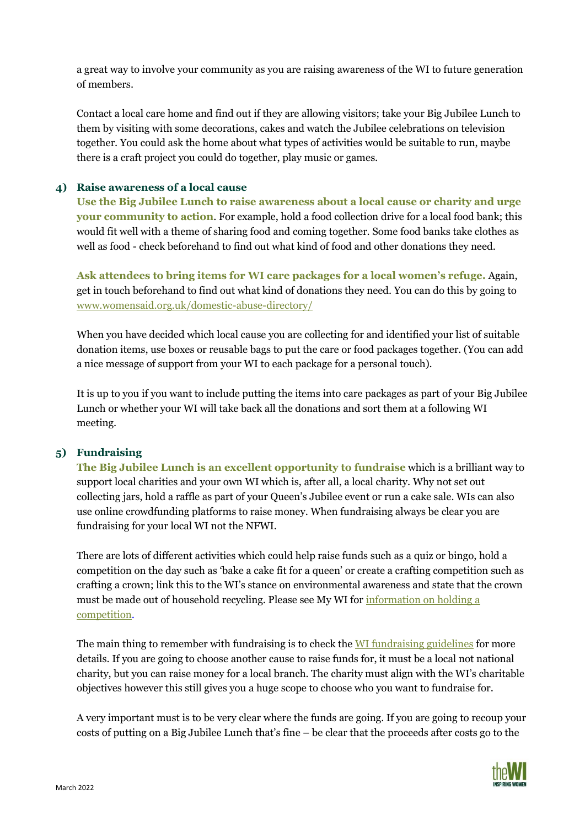a great way to involve your community as you are raising awareness of the WI to future generation of members.

Contact a local care home and find out if they are allowing visitors; take your Big Jubilee Lunch to them by visiting with some decorations, cakes and watch the Jubilee celebrations on television together. You could ask the home about what types of activities would be suitable to run, maybe there is a craft project you could do together, play music or games.

#### **4) Raise awareness of a local cause**

**Use the Big Jubilee Lunch to raise awareness about a local cause or charity and urge your community to action**. For example, hold a food collection drive for a local food bank; this would fit well with a theme of sharing food and coming together. Some food banks take clothes as well as food - check beforehand to find out what kind of food and other donations they need.

**Ask attendees to bring items for WI care packages for a local women's refuge.** Again, get in touch beforehand to find out what kind of donations they need. You can do this by going to [www.womensaid.org.uk/domestic-abuse-directory/](http://www.womensaid.org.uk/domestic-abuse-directory/)

When you have decided which local cause you are collecting for and identified your list of suitable donation items, use boxes or reusable bags to put the care or food packages together. (You can add a nice message of support from your WI to each package for a personal touch).

It is up to you if you want to include putting the items into care packages as part of your Big Jubilee Lunch or whether your WI will take back all the donations and sort them at a following WI meeting.

#### **5) Fundraising**

**The Big Jubilee Lunch is an excellent opportunity to fundraise** which is a brilliant way to support local charities and your own WI which is, after all, a local charity. Why not set out collecting jars, hold a raffle as part of your Queen's Jubilee event or run a cake sale. WIs can also use online crowdfunding platforms to raise money. When fundraising always be clear you are fundraising for your local WI not the NFWI.

There are lots of different activities which could help raise funds such as a quiz or bingo, hold a competition on the day such as 'bake a cake fit for a queen' or create a crafting competition such as crafting a crown; link this to the WI's stance on environmental awareness and state that the crown must be made out of household recycling. Please see My WI for [information on holding a](https://mywi.thewi.org.uk/interests/shows-and-competitions)  [competition.](https://mywi.thewi.org.uk/interests/shows-and-competitions)

The main thing to remember with fundraising is to check the [WI fundraising guidelines](https://mywi.thewi.org.uk/running-your-wi/wi-finances/fundraising-guidelines) for more details. If you are going to choose another cause to raise funds for, it must be a local not national charity, but you can raise money for a local branch. The charity must align with the WI's charitable objectives however this still gives you a huge scope to choose who you want to fundraise for.

A very important must is to be very clear where the funds are going. If you are going to recoup your costs of putting on a Big Jubilee Lunch that's fine – be clear that the proceeds after costs go to the

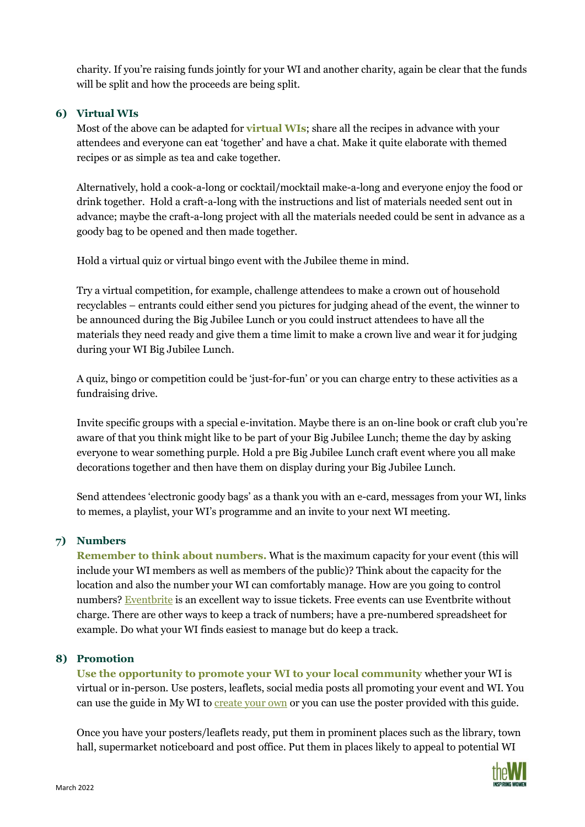charity. If you're raising funds jointly for your WI and another charity, again be clear that the funds will be split and how the proceeds are being split.

#### **6) Virtual WIs**

Most of the above can be adapted for **virtual WIs**; share all the recipes in advance with your attendees and everyone can eat 'together' and have a chat. Make it quite elaborate with themed recipes or as simple as tea and cake together.

Alternatively, hold a cook-a-long or cocktail/mocktail make-a-long and everyone enjoy the food or drink together. Hold a craft-a-long with the instructions and list of materials needed sent out in advance; maybe the craft-a-long project with all the materials needed could be sent in advance as a goody bag to be opened and then made together.

Hold a virtual quiz or virtual bingo event with the Jubilee theme in mind.

Try a virtual competition, for example, challenge attendees to make a crown out of household recyclables – entrants could either send you pictures for judging ahead of the event, the winner to be announced during the Big Jubilee Lunch or you could instruct attendees to have all the materials they need ready and give them a time limit to make a crown live and wear it for judging during your WI Big Jubilee Lunch.

A quiz, bingo or competition could be 'just-for-fun' or you can charge entry to these activities as a fundraising drive.

Invite specific groups with a special e-invitation. Maybe there is an on-line book or craft club you're aware of that you think might like to be part of your Big Jubilee Lunch; theme the day by asking everyone to wear something purple. Hold a pre Big Jubilee Lunch craft event where you all make decorations together and then have them on display during your Big Jubilee Lunch.

Send attendees 'electronic goody bags' as a thank you with an e-card, messages from your WI, links to memes, a playlist, your WI's programme and an invite to your next WI meeting.

#### **7) Numbers**

**Remember to think about numbers.** What is the maximum capacity for your event (this will include your WI members as well as members of the public)? Think about the capacity for the location and also the number your WI can comfortably manage. How are you going to control numbers? [Eventbrite](https://www.eventbrite.co.uk/organizer/overview/) is an excellent way to issue tickets. Free events can use Eventbrite without charge. There are other ways to keep a track of numbers; have a pre-numbered spreadsheet for example. Do what your WI finds easiest to manage but do keep a track.

#### **8) Promotion**

**Use the opportunity to promote your WI to your local community** whether your WI is virtual or in-person. Use posters, leaflets, social media posts all promoting your event and WI. You can use the guide in My WI to [create your own](https://mywi.thewi.org.uk/communications-and-pr/publicising-your-wi/promotional-materials/WI-Events-template.pdf) or you can use the poster provided with this guide.

Once you have your posters/leaflets ready, put them in prominent places such as the library, town hall, supermarket noticeboard and post office. Put them in places likely to appeal to potential WI

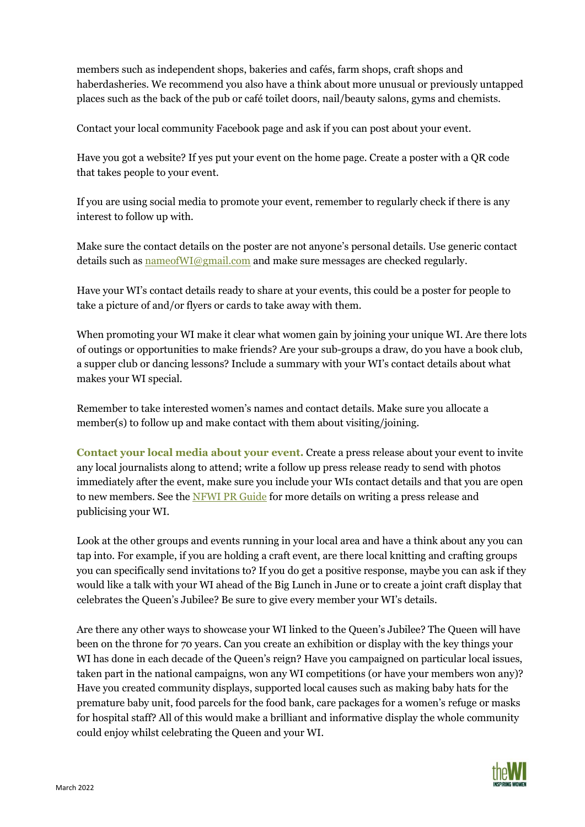members such as independent shops, bakeries and cafés, farm shops, craft shops and haberdasheries. We recommend you also have a think about more unusual or previously untapped places such as the back of the pub or café toilet doors, nail/beauty salons, gyms and chemists.

Contact your local community Facebook page and ask if you can post about your event.

Have you got a website? If yes put your event on the home page. Create a poster with a QR code that takes people to your event.

If you are using social media to promote your event, remember to regularly check if there is any interest to follow up with.

Make sure the contact details on the poster are not anyone's personal details. Use generic contact details such a[s nameofWI@gmail.com](mailto:nameofWI@gmail.com) and make sure messages are checked regularly.

Have your WI's contact details ready to share at your events, this could be a poster for people to take a picture of and/or flyers or cards to take away with them.

When promoting your WI make it clear what women gain by joining your unique WI. Are there lots of outings or opportunities to make friends? Are your sub-groups a draw, do you have a book club, a supper club or dancing lessons? Include a summary with your WI's contact details about what makes your WI special.

Remember to take interested women's names and contact details. Make sure you allocate a member(s) to follow up and make contact with them about visiting/joining.

**Contact your local media about your event.** Create a press release about your event to invite any local journalists along to attend; write a follow up press release ready to send with photos immediately after the event, make sure you include your WIs contact details and that you are open to new members. See the [NFWI PR Guide](https://mywi.thewi.org.uk/communications-and-pr/nfwi-communications-guide) for more details on writing a press release and publicising your WI.

Look at the other groups and events running in your local area and have a think about any you can tap into. For example, if you are holding a craft event, are there local knitting and crafting groups you can specifically send invitations to? If you do get a positive response, maybe you can ask if they would like a talk with your WI ahead of the Big Lunch in June or to create a joint craft display that celebrates the Queen's Jubilee? Be sure to give every member your WI's details.

Are there any other ways to showcase your WI linked to the Queen's Jubilee? The Queen will have been on the throne for 70 years. Can you create an exhibition or display with the key things your WI has done in each decade of the Queen's reign? Have you campaigned on particular local issues, taken part in the national campaigns, won any WI competitions (or have your members won any)? Have you created community displays, supported local causes such as making baby hats for the premature baby unit, food parcels for the food bank, care packages for a women's refuge or masks for hospital staff? All of this would make a brilliant and informative display the whole community could enjoy whilst celebrating the Queen and your WI.

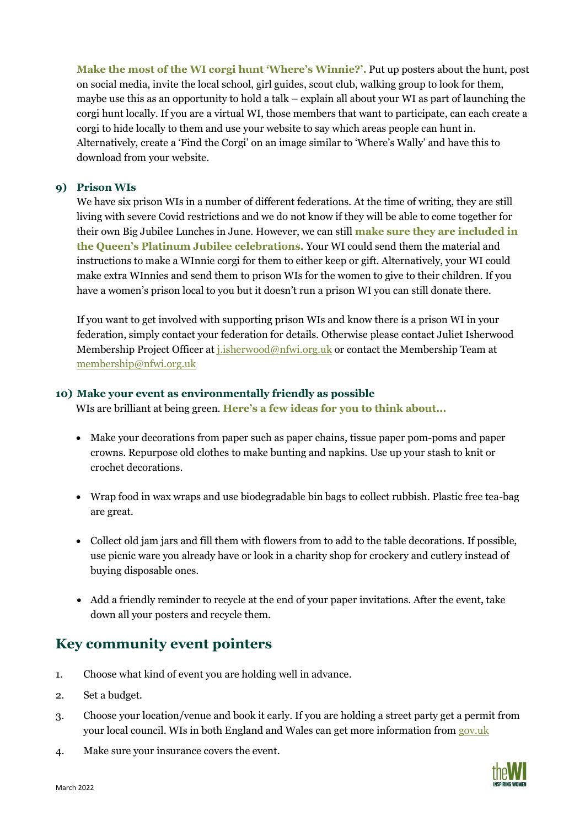**Make the most of the WI corgi hunt 'Where's Winnie?'.** Put up posters about the hunt, post on social media, invite the local school, girl guides, scout club, walking group to look for them, maybe use this as an opportunity to hold a talk – explain all about your WI as part of launching the corgi hunt locally. If you are a virtual WI, those members that want to participate, can each create a corgi to hide locally to them and use your website to say which areas people can hunt in. Alternatively, create a 'Find the Corgi' on an image similar to 'Where's Wally' and have this to download from your website.

#### **9) Prison WIs**

We have six prison WIs in a number of different federations. At the time of writing, they are still living with severe Covid restrictions and we do not know if they will be able to come together for their own Big Jubilee Lunches in June. However, we can still **make sure they are included in the Queen's Platinum Jubilee celebrations.** Your WI could send them the material and instructions to make a WInnie corgi for them to either keep or gift. Alternatively, your WI could make extra WInnies and send them to prison WIs for the women to give to their children. If you have a women's prison local to you but it doesn't run a prison WI you can still donate there.

If you want to get involved with supporting prison WIs and know there is a prison WI in your federation, simply contact your federation for details. Otherwise please contact Juliet Isherwood Membership Project Officer at [j.isherwood@nfwi.org.uk](mailto:j.isherwood@nfwi.org.uk) or contact the Membership Team at [membership@nfwi.org.uk](mailto:membership@nfwi.org.uk)

#### **10) Make your event as environmentally friendly as possible**

WIs are brilliant at being green. **Here's a few ideas for you to think about...**

- Make your decorations from paper such as paper chains, tissue paper pom-poms and paper crowns. Repurpose old clothes to make bunting and napkins. Use up your stash to knit or crochet decorations.
- Wrap food in wax wraps and use biodegradable bin bags to collect rubbish. Plastic free tea-bag are great.
- Collect old jam jars and fill them with flowers from to add to the table decorations. If possible, use picnic ware you already have or look in a charity shop for crockery and cutlery instead of buying disposable ones.
- Add a friendly reminder to recycle at the end of your paper invitations. After the event, take down all your posters and recycle them.

### **Key community event pointers**

- 1. Choose what kind of event you are holding well in advance.
- 2. Set a budget.
- 3. Choose your location/venue and book it early. If you are holding a street party get a permit from your local council. WIs in both England and Wales can get more information from [gov.uk](https://www.gov.uk/organise-street-party/closing-a-road)
- 4. Make sure your insurance covers the event.